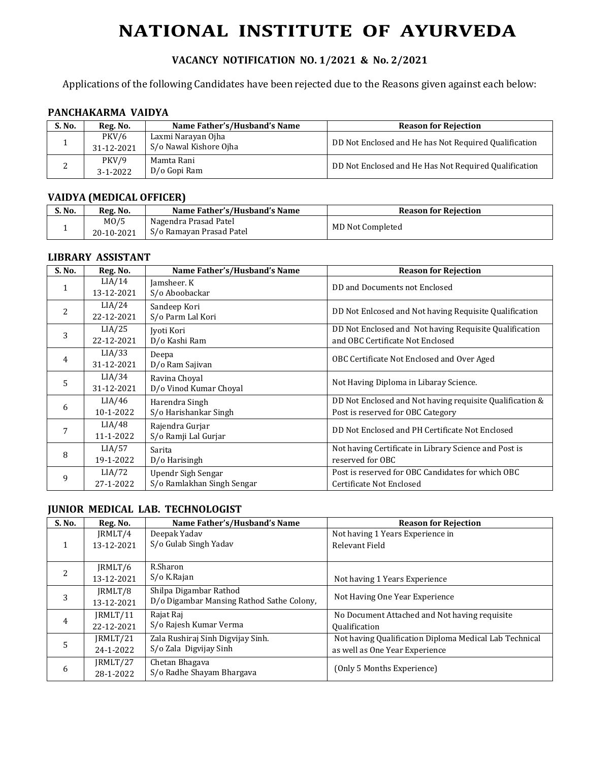# **NATIONAL INSTITUTE OF AYURVEDA**

# **VACANCY NOTIFICATION NO. 1/2021 & No. 2/2021**

Applications of the following Candidates have been rejected due to the Reasons given against each below:

## **PANCHAKARMA VAIDYA**

| S. No. | Reg. No.                | Name Father's/Husband's Name                 | <b>Reason for Rejection</b>                           |
|--------|-------------------------|----------------------------------------------|-------------------------------------------------------|
|        | PKV/6<br>31-12-2021     | Laxmi Narayan Ojha<br>S/o Nawal Kishore Ojha | DD Not Enclosed and He has Not Required Qualification |
|        | PKV/9<br>$3 - 1 - 2022$ | Mamta Rani<br>D/o Gopi Ram                   | DD Not Enclosed and He Has Not Required Qualification |

## **VAIDYA (MEDICAL OFFICER)**

| S. No. | Reg. No.           | Name Father's/Husband's Name                      | <b>Reason for Rejection</b> |
|--------|--------------------|---------------------------------------------------|-----------------------------|
|        | MO/5<br>20-10-2021 | Nagendra Prasad Patel<br>S/o Ramayan Prasad Patel | MD Not Completed            |

#### **LIBRARY ASSISTANT**

| S. No.         | Reg. No.             | Name Father's/Husband's Name                     | <b>Reason for Rejection</b>                                                                   |
|----------------|----------------------|--------------------------------------------------|-----------------------------------------------------------------------------------------------|
|                | LIA/14<br>13-12-2021 | Jamsheer. K<br>S/o Aboobackar                    | DD and Documents not Enclosed                                                                 |
| $\overline{2}$ | LIA/24<br>22-12-2021 | Sandeep Kori<br>S/o Parm Lal Kori                | DD Not Enlcosed and Not having Requisite Qualification                                        |
| 3              | LIA/25<br>22-12-2021 | Jyoti Kori<br>D/o Kashi Ram                      | DD Not Enclosed and Not having Requisite Qualification<br>and OBC Certificate Not Enclosed    |
| 4              | LIA/33<br>31-12-2021 | Deepa<br>D/o Ram Sajivan                         | OBC Certificate Not Enclosed and Over Aged                                                    |
| 5              | LIA/34<br>31-12-2021 | Ravina Choyal<br>D/o Vinod Kumar Choyal          | Not Having Diploma in Libaray Science.                                                        |
| 6              | LIA/46<br>10-1-2022  | Harendra Singh<br>S/o Harishankar Singh          | DD Not Enclosed and Not having requisite Qualification &<br>Post is reserved for OBC Category |
|                | LIA/48<br>11-1-2022  | Rajendra Gurjar<br>S/o Ramji Lal Gurjar          | DD Not Enclosed and PH Certificate Not Enclosed                                               |
| 8              | LIA/57<br>19-1-2022  | Sarita<br>D/o Harisingh                          | Not having Certificate in Library Science and Post is<br>reserved for OBC                     |
| 9              | LIA/72<br>27-1-2022  | Upendr Sigh Sengar<br>S/o Ramlakhan Singh Sengar | Post is reserved for OBC Candidates for which OBC<br>Certificate Not Enclosed                 |

## **JUNIOR MEDICAL LAB. TECHNOLOGIST**

| S. No. | Reg. No.   | Name Father's/Husband's Name              | <b>Reason for Rejection</b>                            |
|--------|------------|-------------------------------------------|--------------------------------------------------------|
|        | IRMLT/4    | Deepak Yadav                              | Not having 1 Years Experience in                       |
|        | 13-12-2021 | S/o Gulab Singh Yadav                     | Relevant Field                                         |
|        |            |                                           |                                                        |
| 2      | IRMLT/6    | R.Sharon                                  |                                                        |
|        | 13-12-2021 | S/o K.Rajan                               | Not having 1 Years Experience                          |
|        | IRMLT/8    | Shilpa Digambar Rathod                    |                                                        |
| 3      | 13-12-2021 | D/o Digambar Mansing Rathod Sathe Colony. | Not Having One Year Experience                         |
|        | IRMLT/11   | Rajat Raj                                 | No Document Attached and Not having requisite          |
| 4      | 22-12-2021 | S/o Rajesh Kumar Verma                    | <b>Qualification</b>                                   |
|        | JRMLT/21   | Zala Rushiraj Sinh Digvijay Sinh.         | Not having Qualification Diploma Medical Lab Technical |
| 5      | 24-1-2022  | S/o Zala Digvijay Sinh                    | as well as One Year Experience                         |
|        | IRMLT/27   | Chetan Bhagava                            | (Only 5 Months Experience)                             |
| 6      | 28-1-2022  | S/o Radhe Shayam Bhargava                 |                                                        |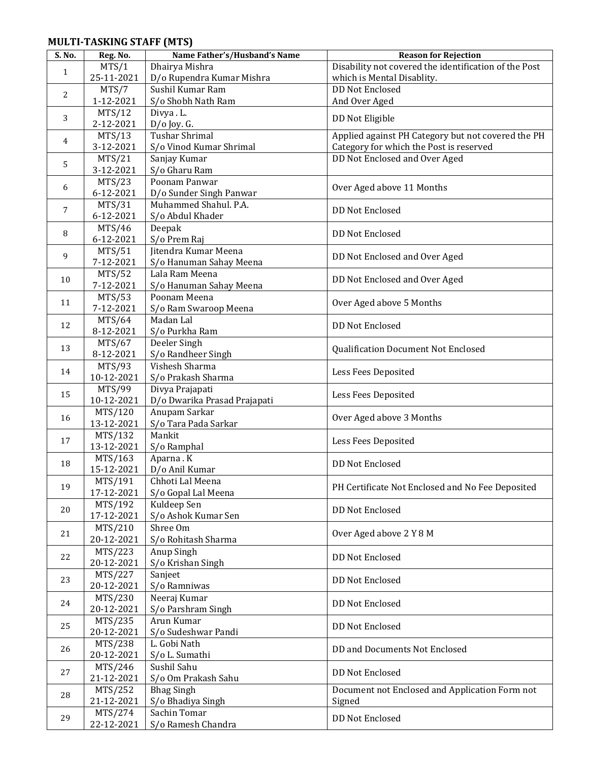## **MULTI-TASKING STAFF (MTS)**

| S. No.       | Reg. No.                    | Name Father's/Husband's Name              | <b>Reason for Rejection</b>                           |
|--------------|-----------------------------|-------------------------------------------|-------------------------------------------------------|
|              | MTS/1                       | Dhairya Mishra                            | Disability not covered the identification of the Post |
| $\mathbf{1}$ | 25-11-2021                  | D/o Rupendra Kumar Mishra                 | which is Mental Disablity.                            |
|              | MTS/7                       | Sushil Kumar Ram                          | <b>DD Not Enclosed</b>                                |
| 2            | $1 - 12 - 2021$             | S/o Shobh Nath Ram                        | And Over Aged                                         |
|              | MTS/12                      | Divya.L.                                  |                                                       |
| 3            | 2-12-2021                   | $D/O$ Joy. G.                             | DD Not Eligible                                       |
|              | MTS/13                      | <b>Tushar Shrimal</b>                     | Applied against PH Category but not covered the PH    |
| 4            | 3-12-2021                   | S/o Vinod Kumar Shrimal                   | Category for which the Post is reserved               |
|              | MTS/21                      | Sanjay Kumar                              | DD Not Enclosed and Over Aged                         |
| 5            | 3-12-2021                   | S/o Gharu Ram                             |                                                       |
|              | MTS/23                      | Poonam Panwar                             |                                                       |
| 6            | 6-12-2021                   | D/o Sunder Singh Panwar                   | Over Aged above 11 Months                             |
|              | MTS/31                      | Muhammed Shahul. P.A.                     |                                                       |
| 7            | 6-12-2021                   | S/o Abdul Khader                          | <b>DD Not Enclosed</b>                                |
|              |                             |                                           |                                                       |
| 8            | MTS/46<br>6-12-2021         | Deepak                                    | <b>DD Not Enclosed</b>                                |
|              |                             | S/o Prem Raj<br>Jitendra Kumar Meena      |                                                       |
| 9            | MTS/51                      |                                           | DD Not Enclosed and Over Aged                         |
|              | 7-12-2021                   | S/o Hanuman Sahay Meena<br>Lala Ram Meena |                                                       |
| 10           | MTS/52                      |                                           | DD Not Enclosed and Over Aged                         |
|              | 7-12-2021                   | S/o Hanuman Sahay Meena<br>Poonam Meena   |                                                       |
| 11           | MTS/53                      |                                           | Over Aged above 5 Months                              |
|              | 7-12-2021                   | S/o Ram Swaroop Meena<br>Madan Lal        |                                                       |
| 12           | MTS/64                      |                                           | <b>DD Not Enclosed</b>                                |
|              | 8-12-2021                   | S/o Purkha Ram                            |                                                       |
| 13           | MTS/67<br>8-12-2021         | Deeler Singh<br>S/o Randheer Singh        | Qualification Document Not Enclosed                   |
|              | MTS/93                      | Vishesh Sharma                            |                                                       |
| 14           | 10-12-2021                  | S/o Prakash Sharma                        | Less Fees Deposited                                   |
|              | MTS/99                      | Divya Prajapati                           |                                                       |
| 15           | 10-12-2021                  | D/o Dwarika Prasad Prajapati              | Less Fees Deposited                                   |
|              | MTS/120                     | Anupam Sarkar                             |                                                       |
| 16           | 13-12-2021                  | S/o Tara Pada Sarkar                      | Over Aged above 3 Months                              |
|              | MTS/132                     | Mankit                                    |                                                       |
| 17           | 13-12-2021                  | S/o Ramphal                               | Less Fees Deposited                                   |
|              | MTS/163                     | Aparna.K                                  |                                                       |
| 18           | 15-12-2021                  | D/o Anil Kumar                            | <b>DD Not Enclosed</b>                                |
|              | MTS/191                     | Chhoti Lal Meena                          |                                                       |
| 19           | 17-12-2021                  | S/o Gopal Lal Meena                       | PH Certificate Not Enclosed and No Fee Deposited      |
|              | MTS/192                     | Kuldeep Sen                               |                                                       |
| 20           | 17-12-2021                  | S/o Ashok Kumar Sen                       | <b>DD Not Enclosed</b>                                |
|              | MTS/210                     | Shree Om                                  |                                                       |
| 21           | 20-12-2021                  | S/o Rohitash Sharma                       | Over Aged above 2 Y 8 M                               |
|              | $\overline{MTS}/223$        | Anup Singh                                |                                                       |
| 22           | 20-12-2021                  | S/o Krishan Singh                         | DD Not Enclosed                                       |
|              | $\overline{\text{MTS}}/227$ | Sanjeet                                   |                                                       |
| 23           | 20-12-2021                  | S/o Ramniwas                              | DD Not Enclosed                                       |
|              | MTS/230                     | Neeraj Kumar                              |                                                       |
| 24           | 20-12-2021                  | S/o Parshram Singh                        | DD Not Enclosed                                       |
|              | MTS/235                     | Arun Kumar                                |                                                       |
| 25           | 20-12-2021                  | S/o Sudeshwar Pandi                       | <b>DD Not Enclosed</b>                                |
|              | MTS/238                     | L. Gobi Nath                              |                                                       |
| 26           | 20-12-2021                  | S/o L. Sumathi                            | DD and Documents Not Enclosed                         |
|              | MTS/246                     | Sushil Sahu                               |                                                       |
| 27           | 21-12-2021                  | S/o Om Prakash Sahu                       | <b>DD Not Enclosed</b>                                |
|              | MTS/252                     | <b>Bhag Singh</b>                         | Document not Enclosed and Application Form not        |
| 28           | 21-12-2021                  | S/o Bhadiya Singh                         | Signed                                                |
|              | MTS/274                     | Sachin Tomar                              |                                                       |
| 29           | 22-12-2021                  | S/o Ramesh Chandra                        | DD Not Enclosed                                       |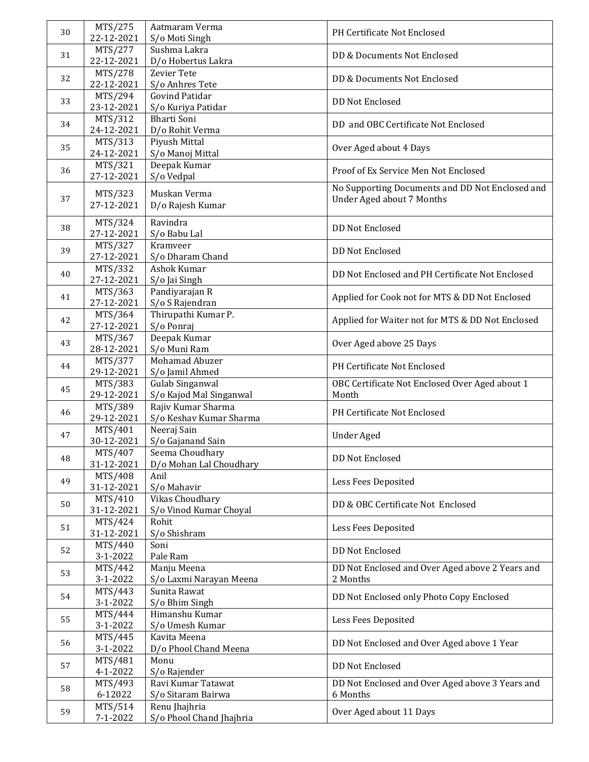| 30 | MTS/275               | Aatmaram Verma                             | PH Certificate Not Enclosed                             |
|----|-----------------------|--------------------------------------------|---------------------------------------------------------|
|    | 22-12-2021<br>MTS/277 | S/o Moti Singh<br>Sushma Lakra             |                                                         |
| 31 | 22-12-2021            | D/o Hobertus Lakra                         | DD & Documents Not Enclosed                             |
| 32 | MTS/278               | <b>Zevier Tete</b>                         | DD & Documents Not Enclosed                             |
|    | 22-12-2021            | S/o Anhres Tete                            |                                                         |
| 33 | MTS/294               | <b>Govind Patidar</b>                      | <b>DD Not Enclosed</b>                                  |
|    | 23-12-2021<br>MTS/312 | S/o Kuriya Patidar<br><b>Bharti Soni</b>   |                                                         |
| 34 | 24-12-2021            | D/o Rohit Verma                            | DD and OBC Certificate Not Enclosed                     |
| 35 | MTS/313               | Piyush Mittal                              | Over Aged about 4 Days                                  |
|    | 24-12-2021<br>MTS/321 | S/o Manoj Mittal<br>Deepak Kumar           |                                                         |
| 36 | 27-12-2021            | S/o Vedpal                                 | Proof of Ex Service Men Not Enclosed                    |
|    | MTS/323               | Muskan Verma                               | No Supporting Documents and DD Not Enclosed and         |
| 37 | 27-12-2021            | D/o Rajesh Kumar                           | <b>Under Aged about 7 Months</b>                        |
|    |                       | Ravindra                                   |                                                         |
| 38 | MTS/324<br>27-12-2021 | S/o Babu Lal                               | <b>DD Not Enclosed</b>                                  |
| 39 | MTS/327               | Kramveer                                   | <b>DD Not Enclosed</b>                                  |
|    | 27-12-2021            | S/o Dharam Chand                           |                                                         |
| 40 | MTS/332<br>27-12-2021 | Ashok Kumar<br>S/o Jai Singh               | DD Not Enclosed and PH Certificate Not Enclosed         |
|    | MTS/363               | Pandiyarajan R                             |                                                         |
| 41 | 27-12-2021            | S/o S Rajendran                            | Applied for Cook not for MTS & DD Not Enclosed          |
| 42 | MTS/364               | Thirupathi Kumar P.                        | Applied for Waiter not for MTS & DD Not Enclosed        |
|    | 27-12-2021<br>MTS/367 | S/o Ponraj<br>Deepak Kumar                 |                                                         |
| 43 | 28-12-2021            | S/o Muni Ram                               | Over Aged above 25 Days                                 |
| 44 | MTS/377               | Mohamad Abuzer                             | PH Certificate Not Enclosed                             |
|    | 29-12-2021            | S/o Jamil Ahmed                            |                                                         |
| 45 | MTS/383<br>29-12-2021 | Gulab Singanwal<br>S/o Kajod Mal Singanwal | OBC Certificate Not Enclosed Over Aged about 1<br>Month |
| 46 | MTS/389               | Rajiv Kumar Sharma                         | PH Certificate Not Enclosed                             |
|    | 29-12-2021            | S/o Keshav Kumar Sharma                    |                                                         |
| 47 | MTS/401<br>30-12-2021 | Neeraj Sain<br>S/o Gajanand Sain           | <b>Under Aged</b>                                       |
|    | MTS/407               | Seema Choudhary                            |                                                         |
| 48 | 31-12-2021            | D/o Mohan Lal Choudhary                    | <b>DD Not Enclosed</b>                                  |
| 49 | MTS/408<br>31-12-2021 | Anil<br>S/o Mahavir                        | Less Fees Deposited                                     |
|    | MTS/410               | Vikas Choudhary                            |                                                         |
| 50 | 31-12-2021            | S/o Vinod Kumar Choyal                     | DD & OBC Certificate Not Enclosed                       |
| 51 | MTS/424               | Rohit                                      | Less Fees Deposited                                     |
|    | 31-12-2021<br>MTS/440 | S/o Shishram<br>Soni                       |                                                         |
| 52 | 3-1-2022              | Pale Ram                                   | DD Not Enclosed                                         |
| 53 | MTS/442               | Manju Meena                                | DD Not Enclosed and Over Aged above 2 Years and         |
|    | 3-1-2022              | S/o Laxmi Narayan Meena<br>Sunita Rawat    | 2 Months                                                |
| 54 | MTS/443<br>3-1-2022   | S/o Bhim Singh                             | DD Not Enclosed only Photo Copy Enclosed                |
| 55 | MTS/444               | Himanshu Kumar                             | Less Fees Deposited                                     |
|    | 3-1-2022              | S/o Umesh Kumar                            |                                                         |
| 56 | MTS/445<br>3-1-2022   | Kavita Meena<br>D/o Phool Chand Meena      | DD Not Enclosed and Over Aged above 1 Year              |
|    | MTS/481               | Monu                                       |                                                         |
| 57 | 4-1-2022              | S/o Rajender                               | DD Not Enclosed                                         |
| 58 | MTS/493               | Ravi Kumar Tatawat                         | DD Not Enclosed and Over Aged above 3 Years and         |
|    | 6-12022<br>MTS/514    | S/o Sitaram Bairwa<br>Renu Jhajhria        | 6 Months                                                |
| 59 | 7-1-2022              | S/o Phool Chand Jhajhria                   | Over Aged about 11 Days                                 |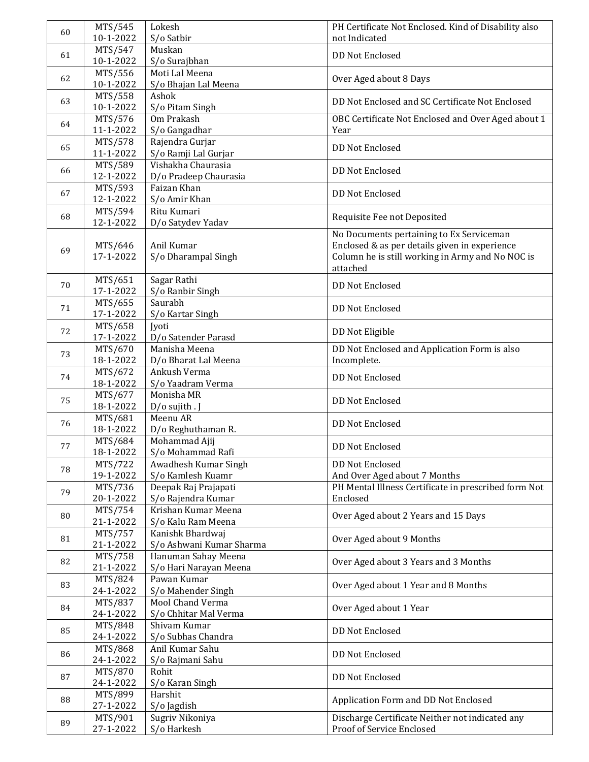| 60 | MTS/545              | Lokesh                                    | PH Certificate Not Enclosed. Kind of Disability also             |
|----|----------------------|-------------------------------------------|------------------------------------------------------------------|
|    | 10-1-2022            | S/o Satbir                                | not Indicated                                                    |
| 61 | MTS/547              | Muskan                                    | <b>DD Not Enclosed</b>                                           |
|    | 10-1-2022            | S/o Surajbhan                             |                                                                  |
| 62 | MTS/556              | Moti Lal Meena                            | Over Aged about 8 Days                                           |
|    | 10-1-2022            | S/o Bhajan Lal Meena                      |                                                                  |
| 63 | MTS/558              | Ashok                                     | DD Not Enclosed and SC Certificate Not Enclosed                  |
|    | 10-1-2022            | S/o Pitam Singh                           |                                                                  |
| 64 | MTS/576              | Om Prakash                                | OBC Certificate Not Enclosed and Over Aged about 1               |
|    | 11-1-2022            | S/o Gangadhar                             | Year                                                             |
| 65 | MTS/578<br>11-1-2022 | Rajendra Gurjar<br>S/o Ramji Lal Gurjar   | <b>DD Not Enclosed</b>                                           |
|    | MTS/589              | Vishakha Chaurasia                        |                                                                  |
| 66 | 12-1-2022            | D/o Pradeep Chaurasia                     | DD Not Enclosed                                                  |
|    | MTS/593              | Faizan Khan                               |                                                                  |
| 67 | 12-1-2022            | S/o Amir Khan                             | <b>DD Not Enclosed</b>                                           |
|    | MTS/594              | Ritu Kumari                               |                                                                  |
| 68 | 12-1-2022            | D/o Satydev Yadav                         | Requisite Fee not Deposited                                      |
|    |                      |                                           | No Documents pertaining to Ex Serviceman                         |
| 69 | MTS/646              | Anil Kumar                                | Enclosed & as per details given in experience                    |
|    | 17-1-2022            | S/o Dharampal Singh                       | Column he is still working in Army and No NOC is                 |
|    |                      |                                           | attached                                                         |
| 70 | MTS/651              | Sagar Rathi                               | <b>DD Not Enclosed</b>                                           |
|    | 17-1-2022            | S/o Ranbir Singh                          |                                                                  |
| 71 | MTS/655              | Saurabh                                   | <b>DD Not Enclosed</b>                                           |
|    | 17-1-2022            | S/o Kartar Singh                          |                                                                  |
| 72 | MTS/658<br>17-1-2022 | Jyoti<br>D/o Satender Parasd              | DD Not Eligible                                                  |
|    | MTS/670              | Manisha Meena                             | DD Not Enclosed and Application Form is also                     |
| 73 | 18-1-2022            | D/o Bharat Lal Meena                      | Incomplete.                                                      |
|    | MTS/672              | Ankush Verma                              |                                                                  |
| 74 | 18-1-2022            | S/o Yaadram Verma                         | DD Not Enclosed                                                  |
|    | MTS/677              | Monisha MR                                |                                                                  |
| 75 | 18-1-2022            | D/o sujith . J                            | DD Not Enclosed                                                  |
| 76 | MTS/681              | Meenu AR                                  | DD Not Enclosed                                                  |
|    | 18-1-2022            | D/o Reghuthaman R.                        |                                                                  |
| 77 | MTS/684              | Mohammad Ajij                             | DD Not Enclosed                                                  |
|    | 18-1-2022            | S/o Mohammad Rafi                         |                                                                  |
| 78 | MTS/722              | Awadhesh Kumar Singh                      | DD Not Enclosed                                                  |
|    | 19-1-2022            | S/o Kamlesh Kuamr                         | And Over Aged about 7 Months                                     |
| 79 | MTS/736<br>20-1-2022 | Deepak Raj Prajapati                      | PH Mental Illness Certificate in prescribed form Not<br>Enclosed |
|    | MTS/754              | S/o Rajendra Kumar<br>Krishan Kumar Meena |                                                                  |
| 80 | 21-1-2022            | S/o Kalu Ram Meena                        | Over Aged about 2 Years and 15 Days                              |
|    | MTS/757              | Kanishk Bhardwaj                          |                                                                  |
| 81 | 21-1-2022            | S/o Ashwani Kumar Sharma                  | Over Aged about 9 Months                                         |
|    | MTS/758              | Hanuman Sahay Meena                       |                                                                  |
| 82 | 21-1-2022            | S/o Hari Narayan Meena                    | Over Aged about 3 Years and 3 Months                             |
| 83 | MTS/824              | Pawan Kumar                               |                                                                  |
|    | 24-1-2022            | S/o Mahender Singh                        | Over Aged about 1 Year and 8 Months                              |
| 84 | MTS/837              | Mool Chand Verma                          | Over Aged about 1 Year                                           |
|    | 24-1-2022            | S/o Chhitar Mal Verma                     |                                                                  |
| 85 | MTS/848              | Shivam Kumar                              | DD Not Enclosed                                                  |
|    | 24-1-2022            | S/o Subhas Chandra                        |                                                                  |
| 86 | MTS/868              | Anil Kumar Sahu                           | DD Not Enclosed                                                  |
|    | 24-1-2022<br>MTS/870 | S/o Rajmani Sahu<br>Rohit                 |                                                                  |
| 87 | 24-1-2022            | S/o Karan Singh                           | DD Not Enclosed                                                  |
|    | MTS/899              | Harshit                                   |                                                                  |
| 88 | 27-1-2022            | S/o Jagdish                               | Application Form and DD Not Enclosed                             |
|    | MTS/901              | Sugriv Nikoniya                           | Discharge Certificate Neither not indicated any                  |
| 89 | 27-1-2022            | S/o Harkesh                               | Proof of Service Enclosed                                        |
|    |                      |                                           |                                                                  |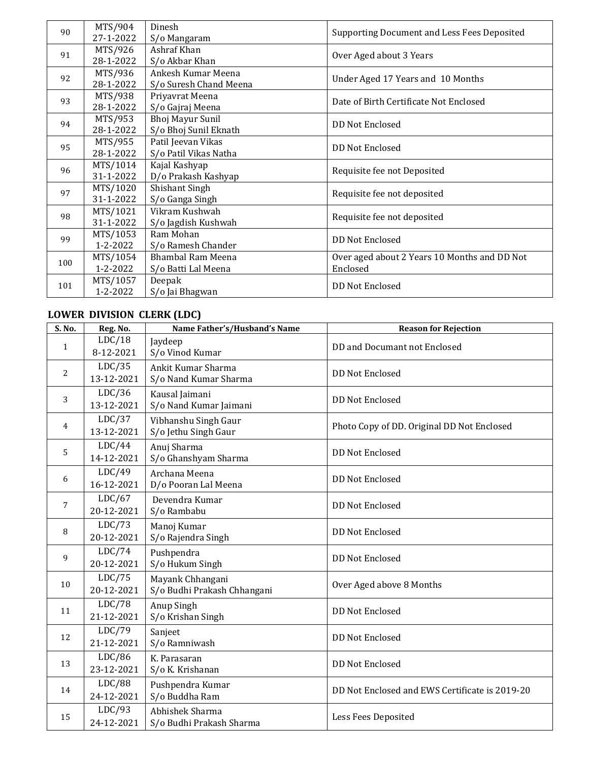| 90  | MTS/904   | Dinesh                   | Supporting Document and Less Fees Deposited  |
|-----|-----------|--------------------------|----------------------------------------------|
|     | 27-1-2022 | S/o Mangaram             |                                              |
| 91  | MTS/926   | Ashraf Khan              | Over Aged about 3 Years                      |
|     | 28-1-2022 | S/o Akbar Khan           |                                              |
| 92  | MTS/936   | Ankesh Kumar Meena       |                                              |
|     | 28-1-2022 | S/o Suresh Chand Meena   | Under Aged 17 Years and 10 Months            |
| 93  | MTS/938   | Priyavrat Meena          |                                              |
|     | 28-1-2022 | S/o Gajraj Meena         | Date of Birth Certificate Not Enclosed       |
| 94  | MTS/953   | Bhoj Mayur Sunil         | <b>DD Not Enclosed</b>                       |
|     | 28-1-2022 | S/o Bhoj Sunil Eknath    |                                              |
| 95  | MTS/955   | Patil Jeevan Vikas       | <b>DD Not Enclosed</b>                       |
|     | 28-1-2022 | S/o Patil Vikas Natha    |                                              |
| 96  | MTS/1014  | Kajal Kashyap            | Requisite fee not Deposited                  |
|     | 31-1-2022 | D/o Prakash Kashyap      |                                              |
| 97  | MTS/1020  | Shishant Singh           | Requisite fee not deposited                  |
|     | 31-1-2022 | S/o Ganga Singh          |                                              |
| 98  | MTS/1021  | Vikram Kushwah           |                                              |
|     | 31-1-2022 | S/o Jagdish Kushwah      | Requisite fee not deposited                  |
| 99  | MTS/1053  | Ram Mohan                |                                              |
|     | 1-2-2022  | S/o Ramesh Chander       | <b>DD Not Enclosed</b>                       |
| 100 | MTS/1054  | <b>Bhambal Ram Meena</b> | Over aged about 2 Years 10 Months and DD Not |
|     | 1-2-2022  | S/o Batti Lal Meena      | Enclosed                                     |
|     | MTS/1057  | Deepak                   |                                              |
| 101 | 1-2-2022  | S/o Jai Bhagwan          | <b>DD Not Enclosed</b>                       |

## **LOWER DIVISION CLERK (LDC)**

| S. No. | Reg. No.             | Name Father's/Husband's Name                    | <b>Reason for Rejection</b>                    |
|--------|----------------------|-------------------------------------------------|------------------------------------------------|
| 1      | LDC/18<br>8-12-2021  | Jaydeep<br>S/o Vinod Kumar                      | DD and Documant not Enclosed                   |
| 2      | LDC/35<br>13-12-2021 | Ankit Kumar Sharma<br>S/o Nand Kumar Sharma     | <b>DD Not Enclosed</b>                         |
| 3      | LDC/36<br>13-12-2021 | Kausal Jaimani<br>S/o Nand Kumar Jaimani        | <b>DD Not Enclosed</b>                         |
| 4      | LDC/37<br>13-12-2021 | Vibhanshu Singh Gaur<br>S/o Jethu Singh Gaur    | Photo Copy of DD. Original DD Not Enclosed     |
| 5      | LDC/44<br>14-12-2021 | Anuj Sharma<br>S/o Ghanshyam Sharma             | <b>DD Not Enclosed</b>                         |
| 6      | LDC/49<br>16-12-2021 | Archana Meena<br>D/o Pooran Lal Meena           | <b>DD Not Enclosed</b>                         |
| 7      | LDC/67<br>20-12-2021 | Devendra Kumar<br>S/o Rambabu                   | <b>DD Not Enclosed</b>                         |
| 8      | LDC/73<br>20-12-2021 | Manoj Kumar<br>S/o Rajendra Singh               | <b>DD Not Enclosed</b>                         |
| 9      | LDC/74<br>20-12-2021 | Pushpendra<br>S/o Hukum Singh                   | <b>DD Not Enclosed</b>                         |
| 10     | LDC/75<br>20-12-2021 | Mayank Chhangani<br>S/o Budhi Prakash Chhangani | Over Aged above 8 Months                       |
| 11     | LDC/78<br>21-12-2021 | Anup Singh<br>S/o Krishan Singh                 | <b>DD Not Enclosed</b>                         |
| 12     | LDC/79<br>21-12-2021 | Sanjeet<br>S/o Ramniwash                        | <b>DD Not Enclosed</b>                         |
| 13     | LDC/86<br>23-12-2021 | K. Parasaran<br>S/o K. Krishanan                | <b>DD Not Enclosed</b>                         |
| 14     | LDC/88<br>24-12-2021 | Pushpendra Kumar<br>S/o Buddha Ram              | DD Not Enclosed and EWS Certificate is 2019-20 |
| 15     | LDC/93<br>24-12-2021 | Abhishek Sharma<br>S/o Budhi Prakash Sharma     | Less Fees Deposited                            |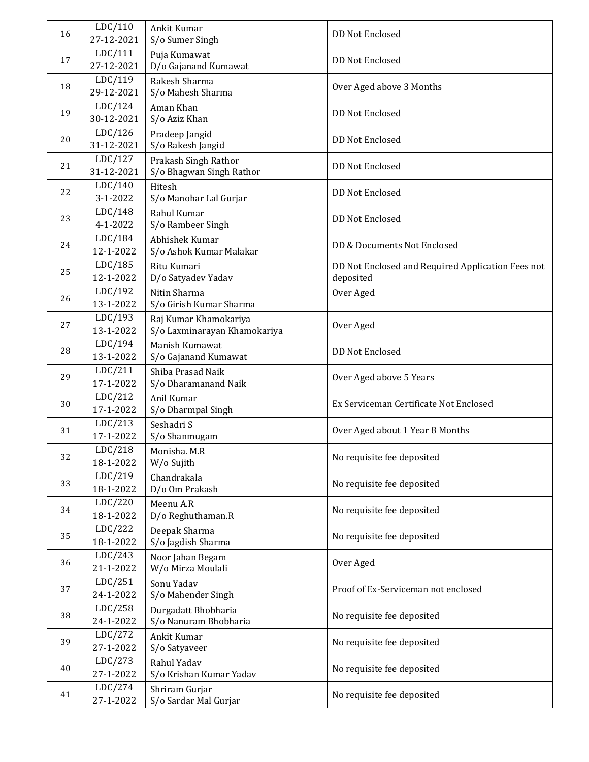| 16 | LDC/110<br>27-12-2021     | Ankit Kumar<br>S/o Sumer Singh                        | <b>DD Not Enclosed</b>                                         |
|----|---------------------------|-------------------------------------------------------|----------------------------------------------------------------|
| 17 | LDC/111<br>27-12-2021     | Puja Kumawat<br>D/o Gajanand Kumawat                  | <b>DD Not Enclosed</b>                                         |
| 18 | LDC/119<br>29-12-2021     | Rakesh Sharma<br>S/o Mahesh Sharma                    | Over Aged above 3 Months                                       |
| 19 | LDC/124<br>30-12-2021     | Aman Khan<br>S/o Aziz Khan                            | <b>DD Not Enclosed</b>                                         |
| 20 | LDC/126<br>31-12-2021     | Pradeep Jangid<br>S/o Rakesh Jangid                   | DD Not Enclosed                                                |
| 21 | LDC/127<br>31-12-2021     | Prakash Singh Rathor<br>S/o Bhagwan Singh Rathor      | <b>DD Not Enclosed</b>                                         |
| 22 | LDC/140<br>$3 - 1 - 2022$ | Hitesh<br>S/o Manohar Lal Gurjar                      | <b>DD Not Enclosed</b>                                         |
| 23 | LDC/148<br>4-1-2022       | Rahul Kumar<br>S/o Rambeer Singh                      | <b>DD Not Enclosed</b>                                         |
| 24 | LDC/184<br>12-1-2022      | Abhishek Kumar<br>S/o Ashok Kumar Malakar             | DD & Documents Not Enclosed                                    |
| 25 | LDC/185<br>12-1-2022      | Ritu Kumari<br>D/o Satyadev Yadav                     | DD Not Enclosed and Required Application Fees not<br>deposited |
| 26 | LDC/192<br>13-1-2022      | Nitin Sharma<br>S/o Girish Kumar Sharma               | Over Aged                                                      |
| 27 | LDC/193<br>13-1-2022      | Raj Kumar Khamokariya<br>S/o Laxminarayan Khamokariya | Over Aged                                                      |
| 28 | LDC/194<br>13-1-2022      | Manish Kumawat<br>S/o Gajanand Kumawat                | <b>DD Not Enclosed</b>                                         |
| 29 | LDC/211<br>17-1-2022      | Shiba Prasad Naik<br>S/o Dharamanand Naik             | Over Aged above 5 Years                                        |
| 30 | LDC/212<br>17-1-2022      | Anil Kumar<br>S/o Dharmpal Singh                      | Ex Serviceman Certificate Not Enclosed                         |
| 31 | LDC/213<br>17-1-2022      | Seshadri S<br>S/o Shanmugam                           | Over Aged about 1 Year 8 Months                                |
| 32 | LDC/218                   | Monisha. M.R                                          | No requisite fee deposited                                     |
| 33 | 18-1-2022<br>LDC/219      | W/o Sujith<br>Chandrakala                             | No requisite fee deposited                                     |
| 34 | 18-1-2022<br>LDC/220      | D/o Om Prakash<br>Meenu A.R                           | No requisite fee deposited                                     |
| 35 | 18-1-2022<br>LDC/222      | D/o Reghuthaman.R<br>Deepak Sharma                    | No requisite fee deposited                                     |
| 36 | 18-1-2022<br>LDC/243      | S/o Jagdish Sharma<br>Noor Jahan Begam                | Over Aged                                                      |
|    | 21-1-2022<br>LDC/251      | W/o Mirza Moulali<br>Sonu Yadav                       |                                                                |
| 37 | 24-1-2022<br>LDC/258      | S/o Mahender Singh<br>Durgadatt Bhobharia             | Proof of Ex-Serviceman not enclosed                            |
| 38 | 24-1-2022<br>LDC/272      | S/o Nanuram Bhobharia<br>Ankit Kumar                  | No requisite fee deposited                                     |
| 39 | 27-1-2022                 | S/o Satyaveer                                         | No requisite fee deposited                                     |
| 40 | LDC/273<br>27-1-2022      | Rahul Yadav<br>S/o Krishan Kumar Yadav                | No requisite fee deposited                                     |
| 41 | LDC/274<br>27-1-2022      | Shriram Gurjar<br>S/o Sardar Mal Gurjar               | No requisite fee deposited                                     |